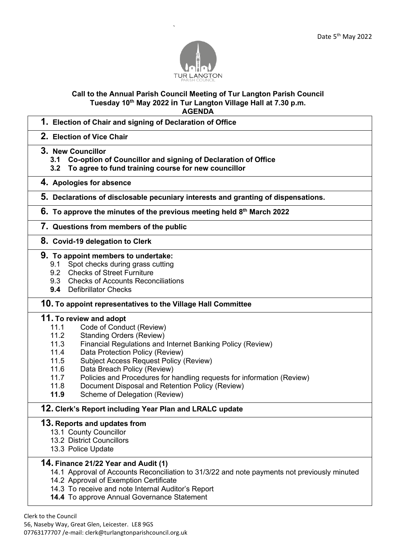

`

# **Call to the Annual Parish Council Meeting of Tur Langton Parish Council Tuesday 10th May 2022 in Tur Langton Village Hall at 7.30 p.m.**

- **AGENDA 1. Election of Chair and signing of Declaration of Office 2. Election of Vice Chair 3. New Councillor 3.1 Co-option of Councillor and signing of Declaration of Office 3.2 To agree to fund training course for new councillor 4. Apologies for absence 5. Declarations of disclosable pecuniary interests and granting of dispensations. 6. To approve the minutes of the previous meeting held 8 th March 2022 7. Questions from members of the public 8. Covid-19 delegation to Clerk 9. To appoint members to undertake:** 9.1 Spot checks during grass cutting 9.2 Checks of Street Furniture 9.3 Checks of Accounts Reconciliations **9.4** Defibrillator Checks **10. To appoint representatives to the Village Hall Committee 11. To review and adopt** 11.1 Code of Conduct (Review) 11.2 Standing Orders (Review) 11.3 Financial Regulations and Internet Banking Policy (Review) 11.4 Data Protection Policy (Review) 11.5 Subject Access Request Policy (Review) 11.6 Data Breach Policy (Review) 11.7 Policies and Procedures for handling requests for information (Review) 11.8 Document Disposal and Retention Policy (Review) **11.9** Scheme of Delegation (Review)
	-

## **12. Clerk's Report including Year Plan and LRALC update**

#### **13. Reports and updates from**

- 13.1 County Councillor
- 13.2 District Councillors
- 13.3 Police Update

#### **14. Finance 21/22 Year and Audit (1)**

- 14.1 Approval of Accounts Reconciliation to 31/3/22 and note payments not previously minuted
- 14.2 Approval of Exemption Certificate
- 14.3 To receive and note Internal Auditor's Report
- **14.4** To approve Annual Governance Statement

Clerk to the Council

56, Naseby Way, Great Glen, Leicester. LE8 9GS 07763177707 /e-mail: clerk@turlangtonparishcouncil.org.uk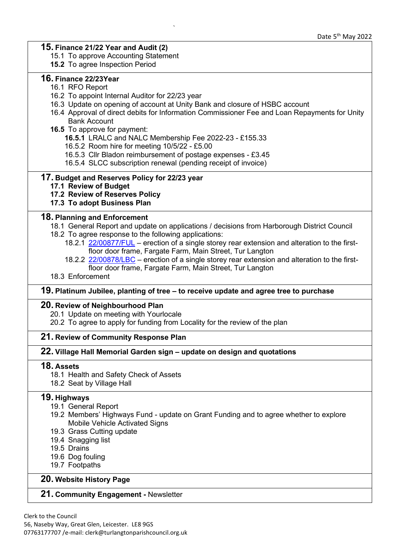## **15. Finance 21/22 Year and Audit (2)**

- 15.1 To approve Accounting Statement
- **15.2** To agree Inspection Period

## **16. Finance 22/23Year**

- 16.1 RFO Report
- 16.2 To appoint Internal Auditor for 22/23 year
- 16.3 Update on opening of account at Unity Bank and closure of HSBC account

`

- 16.4 Approval of direct debits for Information Commissioner Fee and Loan Repayments for Unity Bank Account
- **16.5** To approve for payment:
	- **16.5.1** LRALC and NALC Membership Fee 2022-23 £155.33
	- 16.5.2 Room hire for meeting 10/5/22 £5.00
	- 16.5.3 Cllr Bladon reimbursement of postage expenses £3.45
	- 16.5.4 SLCC subscription renewal (pending receipt of invoice)

## **17. Budget and Reserves Policy for 22/23 year**

- **17.1 Review of Budget**
- **17.2 Review of Reserves Policy**

#### **17.3 To adopt Business Plan**

#### **18. Planning and Enforcement**

- 18.1 General Report and update on applications / decisions from Harborough District Council 18.2 To agree response to the following applications:
	- 18.2.1 [22/00877/FUL](https://pa2.harborough.gov.uk/online-applications/applicationDetails.do?activeTab=documents&keyVal=RA6HRIHWMJT00) erection of a single storey rear extension and alteration to the firstfloor door frame, Fargate Farm, Main Street, Tur Langton
	- 18.2.2 [22/00878/LBC](https://pa2.harborough.gov.uk/online-applications/applicationDetails.do?activeTab=documents&keyVal=RA6HRJHWMJU00) erection of a single storey rear extension and alteration to the firstfloor door frame, Fargate Farm, Main Street, Tur Langton
- 18.3 Enforcement

#### **19. Platinum Jubilee, planting of tree – to receive update and agree tree to purchase**

#### **20. Review of Neighbourhood Plan**

- 20.1 Update on meeting with Yourlocale
- 20.2 To agree to apply for funding from Locality for the review of the plan

#### **21. Review of Community Response Plan**

#### **22. Village Hall Memorial Garden sign – update on design and quotations**

## **18. Assets**

- 18.1 Health and Safety Check of Assets
- 18.2 Seat by Village Hall

## **19. Highways**

- 19.1 General Report
- 19.2 Members' Highways Fund update on Grant Funding and to agree whether to explore Mobile Vehicle Activated Signs
- 19.3 Grass Cutting update
- 19.4 Snagging list
- 19.5 Drains
- 19.6 Dog fouling
- 19.7 Footpaths

## **20. Website History Page**

## **21. Community Engagement -** Newsletter

Clerk to the Council 56, Naseby Way, Great Glen, Leicester. LE8 9GS 07763177707 /e-mail: clerk@turlangtonparishcouncil.org.uk